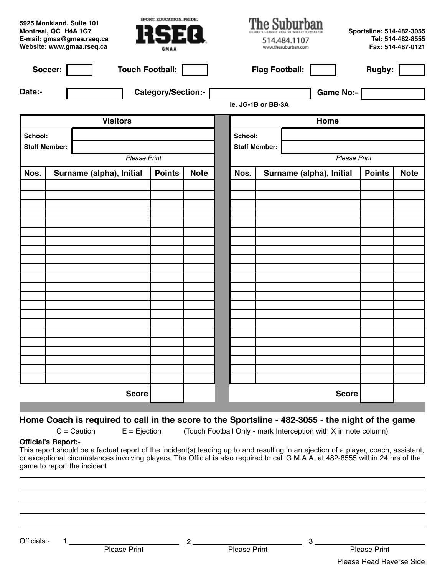|                      | 5925 Monkland, Suite 101<br>Montreal, QC H4A 1G7<br>E-mail: gmaa@gmaa.rseq.ca<br>Website: www.gmaa.rseq.ca |                          | SPORT. EDUCATION. PRIDE.<br>RSEQ<br>GMAA |             |                    |                       | The Suburban<br>514.484.1107<br>www.thesuburban.com | Sportsline: 514-482-3055 | Tel: 514-482-8555<br>Fax: 514-487-0121 |
|----------------------|------------------------------------------------------------------------------------------------------------|--------------------------|------------------------------------------|-------------|--------------------|-----------------------|-----------------------------------------------------|--------------------------|----------------------------------------|
| Soccer:              |                                                                                                            | <b>Touch Football:</b>   |                                          |             |                    | <b>Flag Football:</b> |                                                     | Rugby:                   |                                        |
| Date:-               |                                                                                                            |                          | <b>Category/Section:-</b>                |             | ie. JG-1B or BB-3A |                       | <b>Game No:-</b>                                    |                          |                                        |
|                      |                                                                                                            | <b>Visitors</b>          |                                          |             |                    |                       | Home                                                |                          |                                        |
| School:              |                                                                                                            |                          |                                          | School:     |                    |                       |                                                     |                          |                                        |
| <b>Staff Member:</b> |                                                                                                            |                          |                                          |             |                    | <b>Staff Member:</b>  |                                                     |                          |                                        |
|                      |                                                                                                            | <b>Please Print</b>      |                                          |             |                    |                       | <b>Please Print</b>                                 |                          |                                        |
| Nos.                 |                                                                                                            | Surname (alpha), Initial | <b>Points</b>                            | <b>Note</b> | Nos.               |                       | Surname (alpha), Initial                            | <b>Points</b>            | <b>Note</b>                            |
|                      |                                                                                                            |                          |                                          |             |                    |                       |                                                     |                          |                                        |
|                      |                                                                                                            |                          |                                          |             |                    |                       |                                                     |                          |                                        |
|                      |                                                                                                            |                          |                                          |             |                    |                       |                                                     |                          |                                        |
|                      |                                                                                                            |                          |                                          |             |                    |                       |                                                     |                          |                                        |
|                      |                                                                                                            |                          |                                          |             |                    |                       |                                                     |                          |                                        |
|                      |                                                                                                            |                          |                                          |             |                    |                       |                                                     |                          |                                        |
|                      |                                                                                                            |                          |                                          |             |                    |                       |                                                     |                          |                                        |
|                      |                                                                                                            |                          |                                          |             |                    |                       |                                                     |                          |                                        |
|                      |                                                                                                            |                          |                                          |             |                    |                       |                                                     |                          |                                        |
|                      |                                                                                                            |                          |                                          |             |                    |                       |                                                     |                          |                                        |
|                      |                                                                                                            |                          |                                          |             |                    |                       |                                                     |                          |                                        |
|                      |                                                                                                            |                          |                                          |             |                    |                       |                                                     |                          |                                        |
|                      |                                                                                                            |                          |                                          |             |                    |                       |                                                     |                          |                                        |
|                      |                                                                                                            |                          |                                          |             |                    |                       |                                                     |                          |                                        |
|                      |                                                                                                            |                          |                                          |             |                    |                       |                                                     |                          |                                        |
|                      |                                                                                                            |                          |                                          |             |                    |                       |                                                     |                          |                                        |
|                      |                                                                                                            | <b>Score</b>             |                                          |             |                    |                       | <b>Score</b>                                        |                          |                                        |

#### Home Coach is required to call in the score to the Sportsline - 482-3055 - the night of the game

 $C =$  Caution  $E =$  Ejection (Touch Football Only - mark Interception with X in note column)

#### **Official's Report:-**

This report should be a factual report of the incident(s) leading up to and resulting in an ejection of a player, coach, assistant, or exceptional circumstances involving players. The Official is also required to call G.M.A.A. at 482-8555 within 24 hrs of the game to report the incident

| Officials:- |                     | ົ |                     | G |                          |
|-------------|---------------------|---|---------------------|---|--------------------------|
|             | <b>Please Print</b> |   | <b>Please Print</b> |   | <b>Please Print</b>      |
|             |                     |   |                     |   | Please Read Reverse Side |